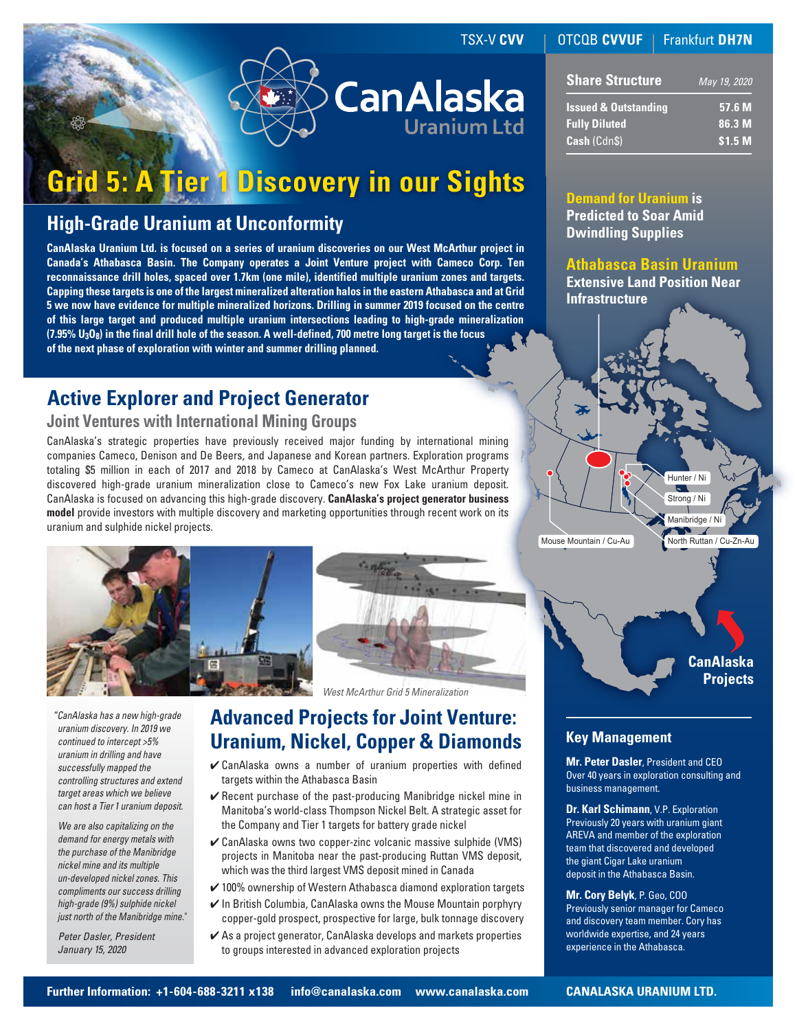# **CanAlaska**

# **Grid 5: A Tier 1 Discovery in our Sights**

### **High-Grade Uranium at Unconformity**

**CanAlaska Uranium Ltd. is focused on a series of uranium discoveries on our West McArthur project in Canada's Athabasca Basin. The Company operates a Joint Venture project with Cameco Corp. Ten reconnaissance drill holes, spaced over 1.7km (one mile), identified multiple uranium zones and targets. Capping these targets is one of the largest mineralized alteration halos in the eastern Athabasca and at Grid 5 we now have evidence for multiple mineralized horizons. Drilling in summer 2019 focused on the centre of this large target and produced multiple uranium intersections leading to high-grade mineralization (7.95% U3O8) in the final drill hole of the season. A well-defined, 700 metre long target is the focus of the next phase of exploration with winter and summer drilling planned.**

## **Active Explorer and Project Generator**

#### **Joint Ventures with International Mining Groups**

CanAlaska's strategic properties have previously received major funding by international mining companies Cameco, Denison and De Beers, and Japanese and Korean partners. Exploration programs totaling \$5 million in each of 2017 and 2018 by Cameco at CanAlaska's West McArthur Property discovered high-grade uranium mineralization close to Cameco's new Fox Lake uranium deposit. CanAlaska is focused on advancing this high-grade discovery. **CanAlaska's project generator business model** provide investors with multiple discovery and marketing opportunities through recent work on its uranium and sulphide nickel projects.





*West McArthur Grid 5 Mineralization*

*"CanAlaska has a new high-grade uranium discovery. In 2019 we continued to intercept >5% uranium in drilling and have successfully mapped the controlling structures and extend target areas which we believe can host a Tier 1 uranium deposit.*

 *We are also capitalizing on the demand for energy metals with the purchase of the Manibridge nickel mine and its multiple un-developed nickel zones. This compliments our success drilling high-grade (9%) sulphide nickel just north of the Manibridge mine."*

 *Peter Dasler, President January 15, 2020*

### **Advanced Projects for Joint Venture: Uranium, Nickel, Copper & Diamonds**

- ✔ CanAlaska owns a number of uranium properties with defined targets within the Athabasca Basin
- $\vee$  Recent purchase of the past-producing Manibridge nickel mine in Manitoba's world-class Thompson Nickel Belt. A strategic asset for the Company and Tier 1 targets for battery grade nickel
- $\checkmark$  CanAlaska owns two copper-zinc volcanic massive sulphide (VMS) projects in Manitoba near the past-producing Ruttan VMS deposit, which was the third largest VMS deposit mined in Canada
- $\checkmark$  100% ownership of Western Athabasca diamond exploration targets
- $\vee$  In British Columbia, CanAlaska owns the Mouse Mountain porphyry copper-gold prospect, prospective for large, bulk tonnage discovery
- $\vee$  As a project generator, CanAlaska develops and markets properties to groups interested in advanced exploration projects

#### TSX-V CVV | OTCQB CVVUF | Frankfurt DH7N

| <b>Share Structure</b>          | May 19, 2020       |
|---------------------------------|--------------------|
| <b>Issued &amp; Outstanding</b> | 57.6 M             |
| <b>Fully Diluted</b>            | 86.3 M             |
| Cash (Cdn\$)                    | \$1.5 <sub>M</sub> |

**Demand for Uranium is Predicted to Soar Amid Dwindling Supplies**

**Athabasca Basin Uranium Extensive Land Position Near Infrastructure**

> Manibridge / Ni North Ruttan / Cu-Zn-Au

Strong / Ni

Hunter / Ni

**CanAlaska Projects**

#### **Key Management**

Mouse Mountain / Cu-Au

**Mr. Peter Dasler**, President and CEO Over 40 years in exploration consulting and business management.

**Dr. Karl Schimann**, V.P. Exploration Previously 20 years with uranium giant AREVA and member of the exploration team that discovered and developed the giant Cigar Lake uranium deposit in the Athabasca Basin.

**Mr. Cory Belyk**, P. Geo, COO Previously senior manager for Cameco and discovery team member. Cory has worldwide expertise, and 24 years experience in the Athabasca.